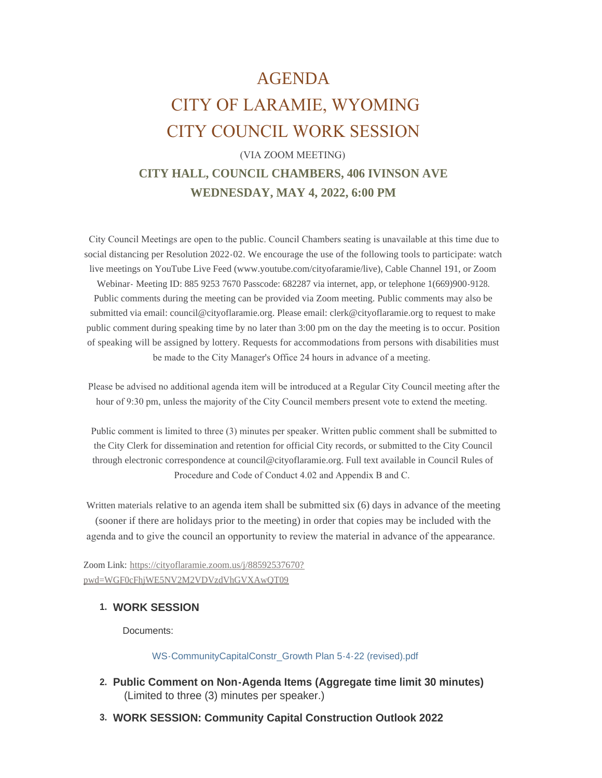# AGENDA CITY OF LARAMIE, WYOMING CITY COUNCIL WORK SESSION

## (VIA ZOOM MEETING) **CITY HALL, COUNCIL CHAMBERS, 406 IVINSON AVE WEDNESDAY, MAY 4, 2022, 6:00 PM**

 City Council Meetings are open to the public. Council Chambers seating is unavailable at this time due to social distancing per Resolution 2022-02. We encourage the use of the following tools to participate: watch live meetings on YouTube Live Feed (www.youtube.com/cityofaramie/live), Cable Channel 191, or Zoom Webinar- Meeting ID: 885 9253 7670 Passcode: 682287 via internet, app, or telephone 1(669)900-9128. Public comments during the meeting can be provided via Zoom meeting. Public comments may also be submitted via email: council@cityoflaramie.org. Please email: clerk@cityoflaramie.org to request to make public comment during speaking time by no later than 3:00 pm on the day the meeting is to occur. Position of speaking will be assigned by lottery. Requests for accommodations from persons with disabilities must be made to the City Manager's Office 24 hours in advance of a meeting.

 Please be advised no additional agenda item will be introduced at a Regular City Council meeting after the hour of 9:30 pm, unless the majority of the City Council members present vote to extend the meeting.

 Public comment is limited to three (3) minutes per speaker. Written public comment shall be submitted to the City Clerk for dissemination and retention for official City records, or submitted to the City Council through electronic correspondence at council@cityoflaramie.org. Full text available in Council Rules of Procedure and Code of Conduct 4.02 and Appendix B and C.

Written materials relative to an agenda item shall be submitted six (6) days in advance of the meeting (sooner if there are holidays prior to the meeting) in order that copies may be included with the agenda and to give the council an opportunity to review the material in advance of the appearance.

Zoom Link: [https://cityoflaramie.zoom.us/j/88592537670?](https://cityoflaramie.zoom.us/j/88592537670?pwd=WGF0cFhjWE5NV2M2VDVzdVhGVXAwQT09) pwd=WGF0cFhjWE5NV2M2VDVzdVhGVXAwQT09

#### **WORK SESSION 1.**

Documents:

[WS-CommunityCapitalConstr\\_Growth Plan 5-4-22 \(revised\).pdf](https://www.cityoflaramie.org/AgendaCenter/ViewFile/Item/12321?fileID=16938)

- **Public Comment on Non-Agenda Items (Aggregate time limit 30 minutes) 2.** (Limited to three (3) minutes per speaker.)
- **WORK SESSION: Community Capital Construction Outlook 2022 3.**